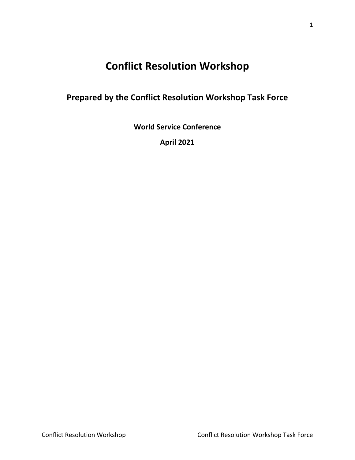# **Conflict Resolution Workshop**

# **Prepared by the Conflict Resolution Workshop Task Force**

**World Service Conference**

**April 2021**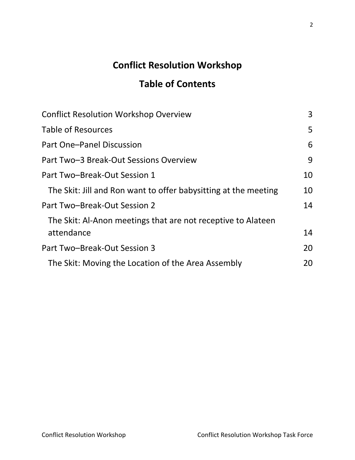# **Conflict Resolution Workshop**

# **Table of Contents**

| <b>Conflict Resolution Workshop Overview</b>                    | 3  |
|-----------------------------------------------------------------|----|
| <b>Table of Resources</b>                                       | 5  |
| Part One-Panel Discussion                                       | 6  |
| Part Two-3 Break-Out Sessions Overview                          | 9  |
| Part Two-Break-Out Session 1                                    | 10 |
| The Skit: Jill and Ron want to offer babysitting at the meeting | 10 |
| Part Two-Break-Out Session 2                                    | 14 |
| The Skit: Al-Anon meetings that are not receptive to Alateen    |    |
| attendance                                                      | 14 |
| Part Two-Break-Out Session 3                                    | 20 |
| The Skit: Moving the Location of the Area Assembly              | 20 |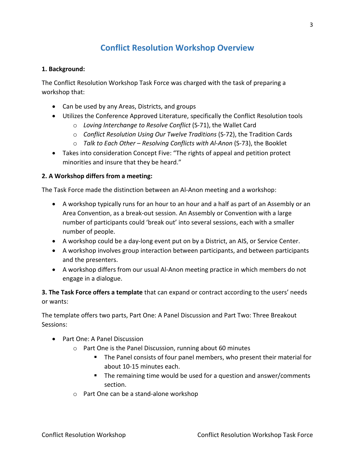# **Conflict Resolution Workshop Overview**

#### <span id="page-2-0"></span>**1. Background:**

The Conflict Resolution Workshop Task Force was charged with the task of preparing a workshop that:

- Can be used by any Areas, Districts, and groups
- Utilizes the Conference Approved Literature, specifically the Conflict Resolution tools
	- o *Loving Interchange to Resolve Conflict* (S-71), the Wallet Card
	- o *Conflict Resolution Using Our Twelve Traditions* (S-72), the Tradition Cards
	- o *Talk to Each Other – Resolving Conflicts with Al-Anon* (S-73), the Booklet
- Takes into consideration Concept Five: "The rights of appeal and petition protect minorities and insure that they be heard."

### **2. A Workshop differs from a meeting:**

The Task Force made the distinction between an Al-Anon meeting and a workshop:

- A workshop typically runs for an hour to an hour and a half as part of an Assembly or an Area Convention, as a break-out session. An Assembly or Convention with a large number of participants could 'break out' into several sessions, each with a smaller number of people.
- A workshop could be a day-long event put on by a District, an AIS, or Service Center.
- A workshop involves group interaction between participants, and between participants and the presenters.
- A workshop differs from our usual Al-Anon meeting practice in which members do not engage in a dialogue.

**3. The Task Force offers a template** that can expand or contract according to the users' needs or wants:

The template offers two parts, Part One: A Panel Discussion and Part Two: Three Breakout Sessions:

- Part One: A Panel Discussion
	- o Part One is the Panel Discussion, running about 60 minutes
		- The Panel consists of four panel members, who present their material for about 10-15 minutes each.
		- **The remaining time would be used for a question and answer/comments** section.
	- o Part One can be a stand-alone workshop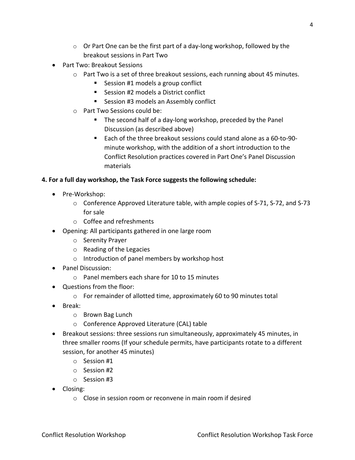- $\circ$  Or Part One can be the first part of a day-long workshop, followed by the breakout sessions in Part Two
- Part Two: Breakout Sessions
	- $\circ$  Part Two is a set of three breakout sessions, each running about 45 minutes.
		- Session #1 models a group conflict
		- Session #2 models a District conflict
		- **Session #3 models an Assembly conflict**
	- o Part Two Sessions could be:
		- **The second half of a day-long workshop, preceded by the Panel** Discussion (as described above)
		- Each of the three breakout sessions could stand alone as a 60-to-90 minute workshop, with the addition of a short introduction to the Conflict Resolution practices covered in Part One's Panel Discussion materials

### **4. For a full day workshop, the Task Force suggests the following schedule:**

- Pre-Workshop:
	- o Conference Approved Literature table, with ample copies of S-71, S-72, and S-73 for sale
	- o Coffee and refreshments
- Opening: All participants gathered in one large room
	- o Serenity Prayer
	- o Reading of the Legacies
	- o Introduction of panel members by workshop host
- Panel Discussion:
	- o Panel members each share for 10 to 15 minutes
- Questions from the floor:
	- o For remainder of allotted time, approximately 60 to 90 minutes total
- Break:
	- o Brown Bag Lunch
	- o Conference Approved Literature (CAL) table
- Breakout sessions: three sessions run simultaneously, approximately 45 minutes, in three smaller rooms (If your schedule permits, have participants rotate to a different session, for another 45 minutes)
	- o Session #1
	- o Session #2
	- o Session #3
- Closing:
	- o Close in session room or reconvene in main room if desired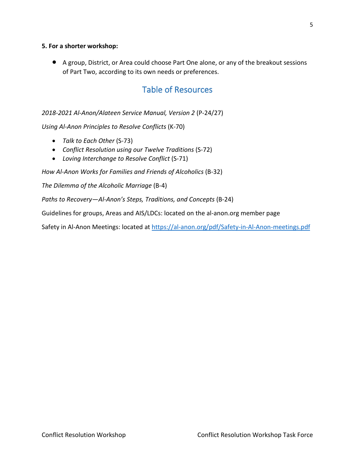### **5. For a shorter workshop:**

<span id="page-4-0"></span>• A group, District, or Area could choose Part One alone, or any of the breakout sessions of Part Two, according to its own needs or preferences.

### Table of Resources

*2018-2021 Al-Anon/Alateen Service Manual, Version 2* (P-24/27)

*Using Al-Anon Principles to Resolve Conflicts* (K-70)

- *Talk to Each Other* (S-73)
- *Conflict Resolution using our Twelve Traditions* (S-72)
- *Loving Interchange to Resolve Conflict* (S-71)

*How Al-Anon Works for Families and Friends of Alcoholics* (B-32)

*The Dilemma of the Alcoholic Marriage* (B-4)

*Paths to Recovery—Al-Anon's Steps, Traditions, and Concepts* (B-24)

Guidelines for groups, Areas and AIS/LDCs: located on the al-anon.org member page

Safety in Al-Anon Meetings: located a[t https://al-anon.org/pdf/Safety-in-Al-Anon-meetings.pdf](https://al-anon.org/pdf/Safety-in-Al-Anon-meetings.pdf)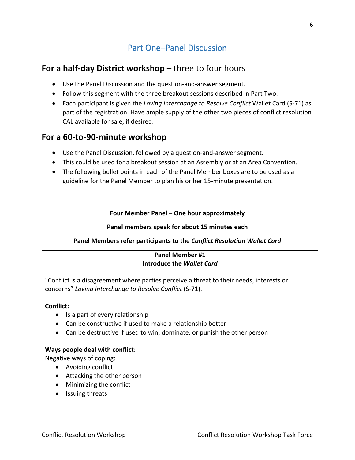# Part One–Panel Discussion

### <span id="page-5-0"></span>**For a half-day District workshop** – three to four hours

- Use the Panel Discussion and the question-and-answer segment.
- Follow this segment with the three breakout sessions described in Part Two.
- Each participant is given the *Loving Interchange to Resolve Conflict* Wallet Card (S-71) as part of the registration. Have ample supply of the other two pieces of conflict resolution CAL available for sale, if desired.

### **For a 60-to-90-minute workshop**

- Use the Panel Discussion, followed by a question-and-answer segment.
- This could be used for a breakout session at an Assembly or at an Area Convention.
- The following bullet points in each of the Panel Member boxes are to be used as a guideline for the Panel Member to plan his or her 15-minute presentation.

### **Four Member Panel – One hour approximately**

### **Panel members speak for about 15 minutes each**

### **Panel Members refer participants to the** *Conflict Resolution Wallet Card*

### **Panel Member #1 Introduce the** *Wallet Card*

"Conflict is a disagreement where parties perceive a threat to their needs, interests or concerns" *Loving Interchange to Resolve Conflict* (S-71).

### **Conflict:**

- Is a part of every relationship
- Can be constructive if used to make a relationship better
- Can be destructive if used to win, dominate, or punish the other person

### **Ways people deal with conflict**:

Negative ways of coping:

- Avoiding conflict
- Attacking the other person
- Minimizing the conflict
- Issuing threats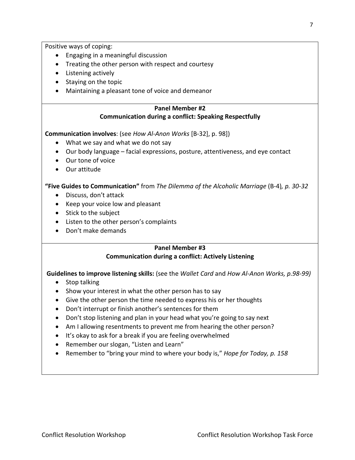Positive ways of coping:

- Engaging in a meaningful discussion
- Treating the other person with respect and courtesy
- Listening actively
- Staying on the topic
- Maintaining a pleasant tone of voice and demeanor

### **Panel Member #2 Communication during a conflict: Speaking Respectfully**

**Communication involves**: (see *How Al-Anon Works* [B-32], p. 98])

- What we say and what we do not say
- Our body language facial expressions, posture, attentiveness, and eye contact
- Our tone of voice
- Our attitude

**"Five Guides to Communication"** from *The Dilemma of the Alcoholic Marriage* (B-4)*, p. 30-32*

- Discuss, don't attack
- Keep your voice low and pleasant
- Stick to the subject
- Listen to the other person's complaints
- Don't make demands

### **Panel Member #3 Communication during a conflict: Actively Listening**

# **Guidelines to improve listening skills:** (see the *Wallet Card* and *How Al-Anon Works, p.98-99)*

- Stop talking
- Show your interest in what the other person has to say
- Give the other person the time needed to express his or her thoughts
- Don't interrupt or finish another's sentences for them
- Don't stop listening and plan in your head what you're going to say next
- Am I allowing resentments to prevent me from hearing the other person?
- It's okay to ask for a break if you are feeling overwhelmed
- Remember our slogan, "Listen and Learn"
- Remember to "bring your mind to where your body is," *Hope for Today, p. 158*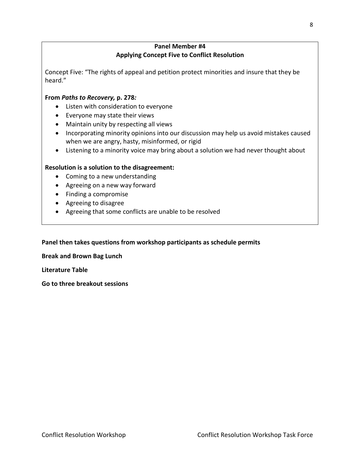### **Panel Member #4 Applying Concept Five to Conflict Resolution**

Concept Five: "The rights of appeal and petition protect minorities and insure that they be heard."

### **From** *Paths to Recovery,* **p. 278***:*

- Listen with consideration to everyone
- Everyone may state their views
- Maintain unity by respecting all views
- Incorporating minority opinions into our discussion may help us avoid mistakes caused when we are angry, hasty, misinformed, or rigid
- Listening to a minority voice may bring about a solution we had never thought about

### **Resolution is a solution to the disagreement:**

- Coming to a new understanding
- Agreeing on a new way forward
- Finding a compromise
- Agreeing to disagree
- Agreeing that some conflicts are unable to be resolved

### **Panel then takes questions from workshop participants as schedule permits**

**Break and Brown Bag Lunch** 

**Literature Table**

**Go to three breakout sessions**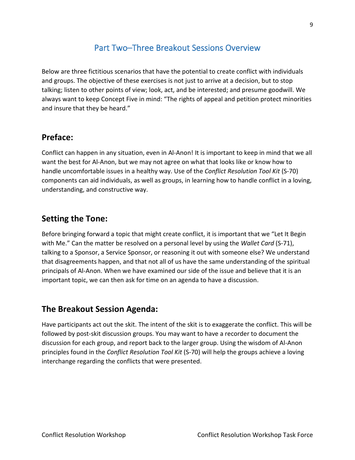## Part Two–Three Breakout Sessions Overview

<span id="page-8-0"></span>Below are three fictitious scenarios that have the potential to create conflict with individuals and groups. The objective of these exercises is not just to arrive at a decision, but to stop talking; listen to other points of view; look, act, and be interested; and presume goodwill. We always want to keep Concept Five in mind: "The rights of appeal and petition protect minorities and insure that they be heard."

### **Preface:**

Conflict can happen in any situation, even in Al-Anon! It is important to keep in mind that we all want the best for Al-Anon, but we may not agree on what that looks like or know how to handle uncomfortable issues in a healthy way. Use of the *Conflict Resolution Tool Kit* (S-70) components can aid individuals, as well as groups, in learning how to handle conflict in a loving, understanding, and constructive way.

### **Setting the Tone:**

Before bringing forward a topic that might create conflict, it is important that we "Let It Begin with Me." Can the matter be resolved on a personal level by using the *Wallet Card* (S-71), talking to a Sponsor, a Service Sponsor, or reasoning it out with someone else? We understand that disagreements happen, and that not all of us have the same understanding of the spiritual principals of Al-Anon. When we have examined our side of the issue and believe that it is an important topic, we can then ask for time on an agenda to have a discussion.

### **The Breakout Session Agenda:**

Have participants act out the skit. The intent of the skit is to exaggerate the conflict. This will be followed by post-skit discussion groups. You may want to have a recorder to document the discussion for each group, and report back to the larger group. Using the wisdom of Al-Anon principles found in the *Conflict Resolution Tool Kit* (S-70) will help the groups achieve a loving interchange regarding the conflicts that were presented.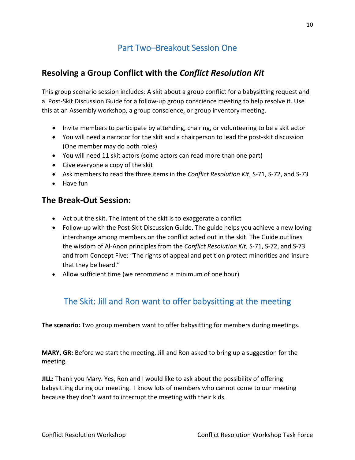# Part Two–Breakout Session One

### <span id="page-9-0"></span>**Resolving a Group Conflict with the** *Conflict Resolution Kit*

This group scenario session includes: A skit about a group conflict for a babysitting request and a Post-Skit Discussion Guide for a follow-up group conscience meeting to help resolve it. Use this at an Assembly workshop, a group conscience, or group inventory meeting.

- Invite members to participate by attending, chairing, or volunteering to be a skit actor
- You will need a narrator for the skit and a chairperson to lead the post-skit discussion (One member may do both roles)
- You will need 11 skit actors (some actors can read more than one part)
- Give everyone a copy of the skit
- Ask members to read the three items in the *Conflict Resolution Kit*, S-71, S-72, and S-73
- Have fun

### **The Break-Out Session:**

- Act out the skit. The intent of the skit is to exaggerate a conflict
- Follow-up with the Post-Skit Discussion Guide. The guide helps you achieve a new loving interchange among members on the conflict acted out in the skit. The Guide outlines the wisdom of Al-Anon principles from the *Conflict Resolution Kit*, S-71, S-72, and S-73 and from Concept Five: "The rights of appeal and petition protect minorities and insure that they be heard."
- Allow sufficient time (we recommend a minimum of one hour)

# <span id="page-9-1"></span>The Skit: Jill and Ron want to offer babysitting at the meeting

**The scenario:** Two group members want to offer babysitting for members during meetings.

**MARY, GR:** Before we start the meeting, Jill and Ron asked to bring up a suggestion for the meeting.

**JILL:** Thank you Mary. Yes, Ron and I would like to ask about the possibility of offering babysitting during our meeting. I know lots of members who cannot come to our meeting because they don't want to interrupt the meeting with their kids.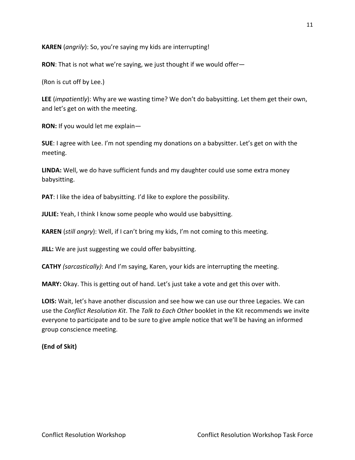**KAREN** (*angrily*): So, you're saying my kids are interrupting!

**RON**: That is not what we're saying, we just thought if we would offer—

(Ron is cut off by Lee.)

**LEE** (*impatiently*): Why are we wasting time? We don't do babysitting. Let them get their own, and let's get on with the meeting.

**RON:** If you would let me explain—

**SUE**: I agree with Lee. I'm not spending my donations on a babysitter. Let's get on with the meeting.

**LINDA:** Well, we do have sufficient funds and my daughter could use some extra money babysitting.

**PAT**: I like the idea of babysitting. I'd like to explore the possibility.

**JULIE:** Yeah, I think I know some people who would use babysitting.

**KAREN** (*still angry*): Well, if I can't bring my kids, I'm not coming to this meeting.

**JILL:** We are just suggesting we could offer babysitting.

**CATHY** *(sarcastically)*: And I'm saying, Karen, your kids are interrupting the meeting.

**MARY:** Okay. This is getting out of hand. Let's just take a vote and get this over with.

**LOIS:** Wait, let's have another discussion and see how we can use our three Legacies. We can use the *Conflict Resolution Kit*. The *Talk to Each Other* booklet in the Kit recommends we invite everyone to participate and to be sure to give ample notice that we'll be having an informed group conscience meeting.

### **(End of Skit)**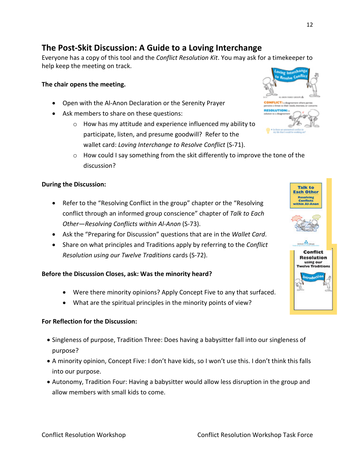# **The Post-Skit Discussion: A Guide to a Loving Interchange**

Everyone has a copy of this tool and the *Conflict Resolution Kit*. You may ask for a timekeeper to help keep the meeting on track.

### **The chair opens the meeting.**

- Open with the Al-Anon Declaration or the Serenity Prayer
- Ask members to share on these questions:
	- o How has my attitude and experience influenced my ability to participate, listen, and presume goodwill? Refer to the wallet card: *Loving Interchange to Resolve Conflict* (S-71).
	- $\circ$  How could I say something from the skit differently to improve the tone of the discussion?

#### **During the Discussion:**

- Refer to the "Resolving Conflict in the group" chapter or the "Resolving conflict through an informed group conscience" chapter of *Talk to Each Other—Resolving Conflicts within Al-Anon* (S-73).
- Ask the "Preparing for Discussion" questions that are in the *Wallet Card*.
- Share on what principles and Traditions apply by referring to the *Conflict Resolution using our Twelve Traditions* cards (S-72).

#### **Before the Discussion Closes, ask: Was the minority heard?**

- Were there minority opinions? Apply Concept Five to any that surfaced.
- What are the spiritual principles in the minority points of view?

#### **For Reflection for the Discussion:**

- Singleness of purpose, Tradition Three: Does having a babysitter fall into our singleness of purpose?
- A minority opinion, Concept Five: I don't have kids, so I won't use this. I don't think this falls into our purpose.
- Autonomy, Tradition Four: Having a babysitter would allow less disruption in the group and allow members with small kids to come.



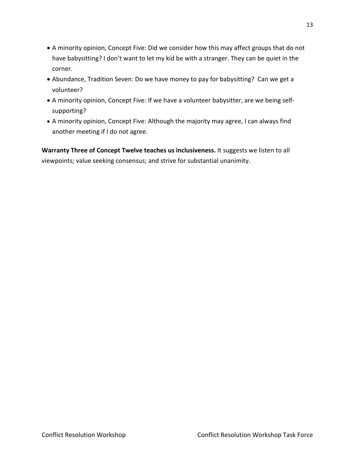- A minority opinion, Concept Five: Did we consider how this may affect groups that do not have babysitting? I don't want to let my kid be with a stranger. They can be quiet in the corner.
- Abundance, Tradition Seven: Do we have money to pay for babysitting? Can we get a volunteer?
- A minority opinion, Concept Five: If we have a volunteer babysitter, are we being selfsupporting?
- A minority opinion, Concept Five: Although the majority may agree, I can always find another meeting if I do not agree.

**Warranty Three of Concept Twelve teaches us inclusiveness.** It suggests we listen to all viewpoints; value seeking consensus; and strive for substantial unanimity.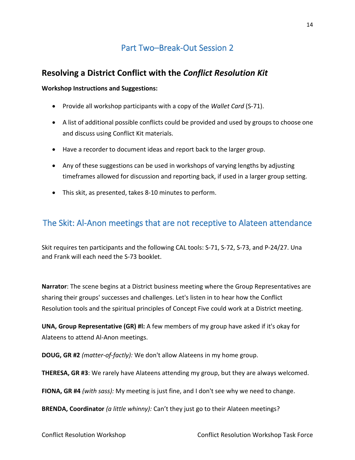# Part Two–Break-Out Session 2

### <span id="page-13-0"></span>**Resolving a District Conflict with the** *Conflict Resolution Kit*

### **Workshop Instructions and Suggestions:**

- Provide all workshop participants with a copy of the *Wallet Card* (S-71).
- A list of additional possible conflicts could be provided and used by groups to choose one and discuss using Conflict Kit materials.
- Have a recorder to document ideas and report back to the larger group.
- Any of these suggestions can be used in workshops of varying lengths by adjusting timeframes allowed for discussion and reporting back, if used in a larger group setting.
- This skit, as presented, takes 8-10 minutes to perform.

### <span id="page-13-1"></span>The Skit: Al-Anon meetings that are not receptive to Alateen attendance

Skit requires ten participants and the following CAL tools: S-71, S-72, S-73, and P-24/27. Una and Frank will each need the S-73 booklet.

**Narrator**: The scene begins at a District business meeting where the Group Representatives are sharing their groups' successes and challenges. Let's listen in to hear how the Conflict Resolution tools and the spiritual principles of Concept Five could work at a District meeting.

**UNA, Group Representative (GR) #l:** A few members of my group have asked if it's okay for Alateens to attend Al-Anon meetings.

**DOUG, GR #2** *(matter-of-factly):* We don't allow Alateens in my home group.

**THERESA, GR #3**: We rarely have Alateens attending my group, but they are always welcomed.

**FIONA, GR #4** *(with sass):* My meeting is just fine, and I don't see why we need to change.

**BRENDA, Coordinator** *(a little whinny):* Can't they just go to their Alateen meetings?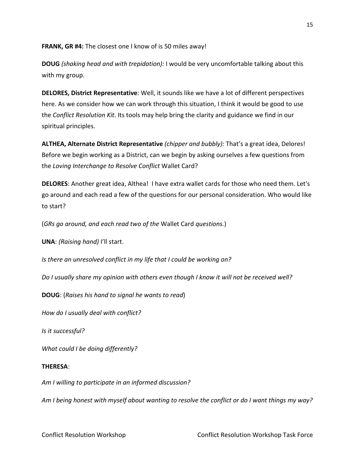**FRANK, GR #4:** The closest one I know of is 50 miles away!

**DOUG** *(shaking head and with trepidation):* I would be very uncomfortable talking about this with my group.

**DELORES, District Representative**: Well, it sounds like we have a lot of different perspectives here. As we consider how we can work through this situation, I think it would be good to use the *Conflict Resolution Kit*. Its tools may help bring the clarity and guidance we find in our spiritual principles.

**ALTHEA, Alternate District Representative** *(chipper and bubbly):* That's a great idea, Delores! Before we begin working as a District, can we begin by asking ourselves a few questions from the *Loving Interchange to Resolve Conflict* Wallet Card?

**DELORES**: Another great idea, Althea! I have extra wallet cards for those who need them. Let's go around and each read a few of the questions for our personal consideration. Who would like to start?

(*GRs go around, and each read two of the* Wallet Card *questions.*)

**UNA**: *(Raising hand)* I'll start.

*Is there an unresolved conflict in my life that I could be working on?* 

*Do I usually share my opinion with others even though I know it will not be received well?*

**DOUG**: (*Raises his hand to signal he wants to read*)

*How do I usually deal with conflict?* 

*Is it successful?* 

*What could I be doing differently?*

#### **THERESA**:

*Am I willing to participate in an informed discussion?* 

*Am I being honest with myself about wanting to resolve the conflict or do I want things my way?*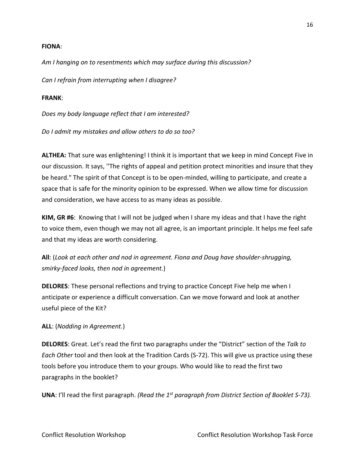#### **FIONA**:

*Am I hanging on to resentments which may surface during this discussion?*

*Can I refrain from interrupting when I disagree?*

#### **FRANK**:

*Does my body language reflect that I am interested?*

*Do I admit my mistakes and allow others to do so too?*

**ALTHEA:** That sure was enlightening! I think it is important that we keep in mind Concept Five in our discussion. It says, ''The rights of appeal and petition protect minorities and insure that they be heard." The spirit of that Concept is to be open-minded, willing to participate, and create a space that is safe for the minority opinion to be expressed. When we allow time for discussion and consideration, we have access to as many ideas as possible.

**KIM, GR #6**: Knowing that I will not be judged when I share my ideas and that I have the right to voice them, even though we may not all agree, is an important principle. It helps me feel safe and that my ideas are worth considering.

**All**: (*Look at each other and nod in agreement. Fiona and Doug have shoulder-shrugging, smirky-faced looks, then nod in agreement.*)

**DELORES**: These personal reflections and trying to practice Concept Five help me when I anticipate or experience a difficult conversation. Can we move forward and look at another useful piece of the Kit?

#### **ALL**: (*Nodding in Agreement.*)

**DELORES**: Great. Let's read the first two paragraphs under the "District" section of the *Talk to Each Other* tool and then look at the Tradition Cards (S-72). This will give us practice using these tools before you introduce them to your groups. Who would like to read the first two paragraphs in the booklet?

**UNA**: I'll read the first paragraph. *(Read the 1st paragraph from District Section of Booklet S-73).*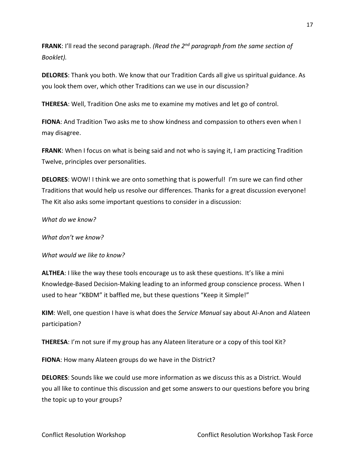**FRANK**: I'll read the second paragraph. *(Read the 2nd paragraph from the same section of Booklet).*

**DELORES**: Thank you both. We know that our Tradition Cards all give us spiritual guidance. As you look them over, which other Traditions can we use in our discussion?

**THERESA**: Well, Tradition One asks me to examine my motives and let go of control.

**FIONA**: And Tradition Two asks me to show kindness and compassion to others even when I may disagree.

**FRANK**: When I focus on what is being said and not who is saying it, I am practicing Tradition Twelve, principles over personalities.

**DELORES**: WOW! I think we are onto something that is powerful! I'm sure we can find other Traditions that would help us resolve our differences. Thanks for a great discussion everyone! The Kit also asks some important questions to consider in a discussion:

*What do we know?*

*What don't we know?*

*What would we like to know?*

**ALTHEA**: I like the way these tools encourage us to ask these questions. It's like a mini Knowledge-Based Decision-Making leading to an informed group conscience process. When I used to hear "KBDM" it baffled me, but these questions "Keep it Simple!"

**KIM**: Well, one question I have is what does the *Service Manual* say about Al-Anon and Alateen participation?

**THERESA**: I'm not sure if my group has any Alateen literature or a copy of this tool Kit?

**FIONA**: How many Alateen groups do we have in the District?

**DELORES**: Sounds like we could use more information as we discuss this as a District. Would you all like to continue this discussion and get some answers to our questions before you bring the topic up to your groups?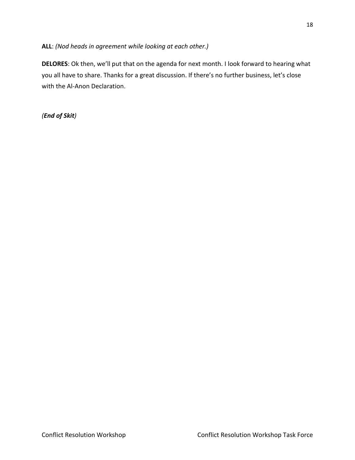### **ALL**: *(Nod heads in agreement while looking at each other.)*

**DELORES**: Ok then, we'll put that on the agenda for next month. I look forward to hearing what you all have to share. Thanks for a great discussion. If there's no further business, let's close with the Al-Anon Declaration.

*(End of Skit)*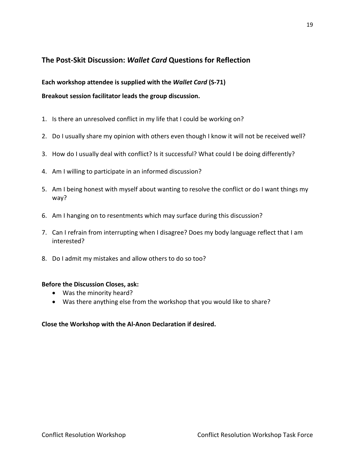### **The Post-Skit Discussion:** *Wallet Card* **Questions for Reflection**

### **Each workshop attendee is supplied with the** *Wallet Card* **(S-71)**

**Breakout session facilitator leads the group discussion.**

- 1. Is there an unresolved conflict in my life that I could be working on?
- 2. Do I usually share my opinion with others even though I know it will not be received well?
- 3. How do I usually deal with conflict? Is it successful? What could I be doing differently?
- 4. Am I willing to participate in an informed discussion?
- 5. Am I being honest with myself about wanting to resolve the conflict or do I want things my way?
- 6. Am I hanging on to resentments which may surface during this discussion?
- 7. Can I refrain from interrupting when I disagree? Does my body language reflect that I am interested?
- 8. Do I admit my mistakes and allow others to do so too?

### **Before the Discussion Closes, ask:**

- Was the minority heard?
- Was there anything else from the workshop that you would like to share?

### **Close the Workshop with the Al-Anon Declaration if desired.**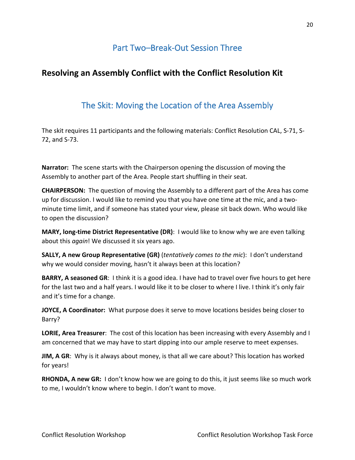# Part Two–Break-Out Session Three

### <span id="page-19-0"></span>**Resolving an Assembly Conflict with the Conflict Resolution Kit**

## The Skit: Moving the Location of the Area Assembly

<span id="page-19-1"></span>The skit requires 11 participants and the following materials: Conflict Resolution CAL, S-71, S-72, and S-73.

**Narrator:** The scene starts with the Chairperson opening the discussion of moving the Assembly to another part of the Area. People start shuffling in their seat.

**CHAIRPERSON:** The question of moving the Assembly to a different part of the Area has come up for discussion. I would like to remind you that you have one time at the mic, and a twominute time limit, and if someone has stated your view, please sit back down. Who would like to open the discussion?

**MARY, long-time District Representative (DR)**: I would like to know why we are even talking about this *again*! We discussed it six years ago.

**SALLY, A new Group Representative (GR)** (*tentatively comes to the mic*): I don't understand why we would consider moving, hasn't it always been at this location?

**BARRY, A seasoned GR**: I think it is a good idea. I have had to travel over five hours to get here for the last two and a half years. I would like it to be closer to where I live. I think it's only fair and it's time for a change.

**JOYCE, A Coordinator:** What purpose does it serve to move locations besides being closer to Barry?

**LORIE, Area Treasurer**: The cost of this location has been increasing with every Assembly and I am concerned that we may have to start dipping into our ample reserve to meet expenses.

**JIM, A GR**: Why is it always about money, is that all we care about? This location has worked for years!

**RHONDA, A new GR:** I don't know how we are going to do this, it just seems like so much work to me, I wouldn't know where to begin. I don't want to move.